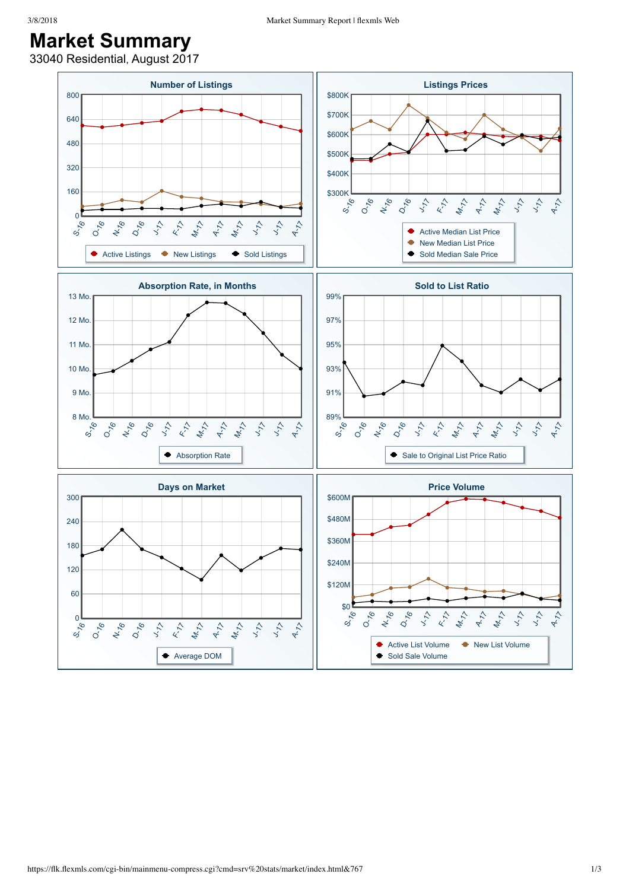## **Market Summary**

33040 Residential, August 2017

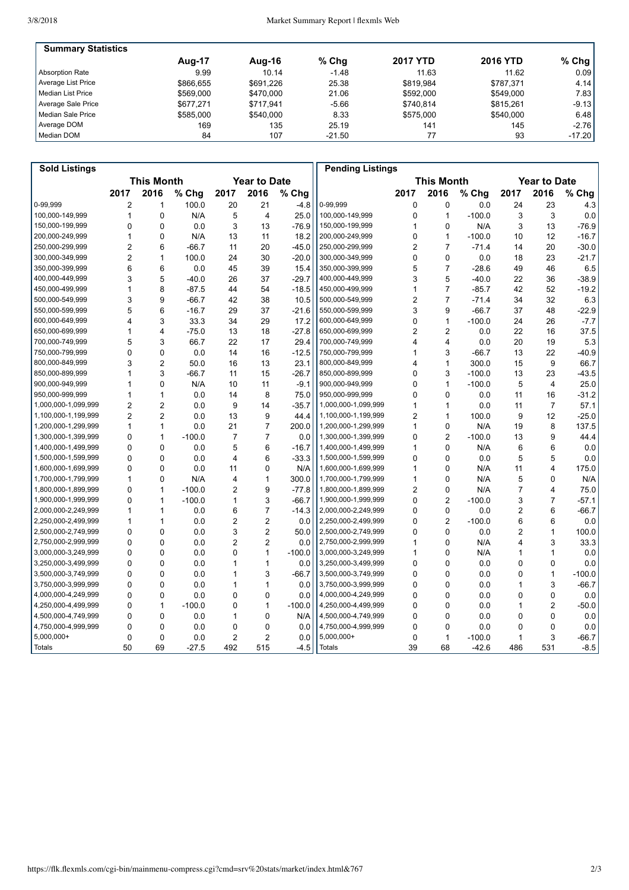| <b>Summary Statistics</b> |           |           |          |                 |                 |          |
|---------------------------|-----------|-----------|----------|-----------------|-----------------|----------|
|                           | Aug-17    | Aug-16    | $%$ Chg  | <b>2017 YTD</b> | <b>2016 YTD</b> | $%$ Chg  |
| Absorption Rate           | 9.99      | 10.14     | $-1.48$  | 11.63           | 11.62           | 0.09     |
| Average List Price        | \$866.655 | \$691.226 | 25.38    | \$819.984       | \$787.371       | 4.14     |
| Median List Price         | \$569,000 | \$470,000 | 21.06    | \$592,000       | \$549.000       | 7.83     |
| Average Sale Price        | \$677.271 | \$717.941 | $-5.66$  | \$740.814       | \$815.261       | $-9.13$  |
| Median Sale Price         | \$585,000 | \$540.000 | 8.33     | \$575,000       | \$540.000       | 6.48     |
| Average DOM               | 169       | 135       | 25.19    | 141             | 145             | $-2.76$  |
| Median DOM                | 84        | 107       | $-21.50$ | 77              | 93              | $-17.20$ |

| <b>Sold Listings</b> |                   |                |          |                     |                |          | <b>Pending Listings</b> |                |                |                   |                |                     |          |
|----------------------|-------------------|----------------|----------|---------------------|----------------|----------|-------------------------|----------------|----------------|-------------------|----------------|---------------------|----------|
|                      | <b>This Month</b> |                |          | <b>Year to Date</b> |                |          |                         |                |                | <b>This Month</b> |                | <b>Year to Date</b> |          |
|                      | 2017              | 2016           | % Chg    | 2017                | 2016           | % Chg    |                         | 2017           | 2016           | % Chg             | 2017           | 2016                | % Chg    |
| 0-99.999             | $\overline{2}$    | $\mathbf{1}$   | 100.0    | 20                  | 21             | $-4.8$   | 0-99,999                | 0              | 0              | 0.0               | 24             | 23                  | 4.3      |
| 100,000-149,999      | $\mathbf{1}$      | $\Omega$       | N/A      | 5                   | $\overline{4}$ | 25.0     | 100,000-149,999         | 0              | $\mathbf{1}$   | $-100.0$          | 3              | 3                   | 0.0      |
| 150,000-199,999      | 0                 | $\mathbf 0$    | 0.0      | 3                   | 13             | $-76.9$  | 150,000-199,999         | 1              | 0              | N/A               | 3              | 13                  | $-76.9$  |
| 200,000-249,999      | $\mathbf{1}$      | $\mathbf 0$    | N/A      | 13                  | 11             | 18.2     | 200,000-249,999         | 0              | $\mathbf{1}$   | $-100.0$          | 10             | 12                  | $-16.7$  |
| 250,000-299,999      | $\overline{2}$    | 6              | $-66.7$  | 11                  | 20             | $-45.0$  | 250,000-299,999         | $\overline{2}$ | $\overline{7}$ | $-71.4$           | 14             | 20                  | $-30.0$  |
| 300,000-349,999      | $\overline{2}$    | 1              | 100.0    | 24                  | 30             | $-20.0$  | 300,000-349,999         | 0              | 0              | 0.0               | 18             | 23                  | $-21.7$  |
| 350,000-399,999      | 6                 | 6              | 0.0      | 45                  | 39             | 15.4     | 350,000-399,999         | 5              | $\overline{7}$ | $-28.6$           | 49             | 46                  | 6.5      |
| 400,000-449,999      | 3                 | 5              | $-40.0$  | 26                  | 37             | $-29.7$  | 400,000-449,999         | 3              | 5              | $-40.0$           | 22             | 36                  | $-38.9$  |
| 450,000-499,999      | $\mathbf{1}$      | 8              | $-87.5$  | 44                  | 54             | $-18.5$  | 450,000-499,999         | 1              | $\overline{7}$ | $-85.7$           | 42             | 52                  | $-19.2$  |
| 500,000-549,999      | 3                 | 9              | $-66.7$  | 42                  | 38             | 10.5     | 500,000-549,999         | $\overline{2}$ | $\overline{7}$ | $-71.4$           | 34             | 32                  | 6.3      |
| 550,000-599,999      | 5                 | 6              | $-16.7$  | 29                  | 37             | $-21.6$  | 550,000-599,999         | 3              | 9              | $-66.7$           | 37             | 48                  | $-22.9$  |
| 600.000-649.999      | 4                 | 3              | 33.3     | 34                  | 29             | 17.2     | 600.000-649.999         | 0              | 1              | $-100.0$          | 24             | 26                  | $-7.7$   |
| 650,000-699,999      | 1                 | $\overline{4}$ | $-75.0$  | 13                  | 18             | $-27.8$  | 650,000-699,999         | 2              | $\overline{2}$ | 0.0               | 22             | 16                  | 37.5     |
| 700,000-749,999      | 5                 | 3              | 66.7     | 22                  | 17             | 29.4     | 700,000-749,999         | 4              | 4              | 0.0               | 20             | 19                  | 5.3      |
| 750.000-799.999      | $\Omega$          | $\Omega$       | 0.0      | 14                  | 16             | $-12.5$  | 750,000-799,999         | 1              | 3              | $-66.7$           | 13             | 22                  | $-40.9$  |
| 800,000-849,999      | 3                 | $\overline{2}$ | 50.0     | 16                  | 13             | 23.1     | 800,000-849,999         | 4              | $\mathbf{1}$   | 300.0             | 15             | 9                   | 66.7     |
| 850,000-899,999      | $\mathbf{1}$      | 3              | $-66.7$  | 11                  | 15             | $-26.7$  | 850,000-899,999         | $\Omega$       | 3              | $-100.0$          | 13             | 23                  | $-43.5$  |
| 900,000-949,999      | 1                 | $\Omega$       | N/A      | 10                  | 11             | $-9.1$   | 900,000-949,999         | 0              | 1              | $-100.0$          | 5              | 4                   | 25.0     |
| 950,000-999,999      | $\mathbf{1}$      | 1              | 0.0      | 14                  | 8              | 75.0     | 950,000-999,999         | 0              | 0              | 0.0               | 11             | 16                  | $-31.2$  |
| 1,000,000-1,099,999  | $\overline{2}$    | $\overline{2}$ | 0.0      | 9                   | 14             | $-35.7$  | 1,000,000-1,099,999     | 1              | $\mathbf{1}$   | 0.0               | 11             | $\overline{7}$      | 57.1     |
| 1,100,000-1,199,999  | $\overline{2}$    | $\overline{2}$ | 0.0      | 13                  | 9              | 44.4     | 1,100,000-1,199,999     | $\overline{2}$ | $\mathbf{1}$   | 100.0             | 9              | 12                  | $-25.0$  |
| 1,200,000-1,299,999  | $\mathbf{1}$      | $\mathbf{1}$   | 0.0      | 21                  | $\overline{7}$ | 200.0    | 1,200,000-1,299,999     | 1              | 0              | N/A               | 19             | 8                   | 137.5    |
| 1,300,000-1,399,999  | 0                 | 1              | $-100.0$ | $\overline{7}$      | $\overline{7}$ | 0.0      | 1,300,000-1,399,999     | 0              | $\overline{2}$ | $-100.0$          | 13             | 9                   | 44.4     |
| 1,400,000-1,499,999  | $\Omega$          | $\Omega$       | 0.0      | 5                   | 6              | $-16.7$  | 1,400,000-1,499,999     | 1              | $\mathbf{0}$   | N/A               | 6              | 6                   | 0.0      |
| 1,500,000-1,599,999  | 0                 | $\mathbf 0$    | 0.0      | 4                   | 6              | $-33.3$  | 1,500,000-1,599,999     | 0              | 0              | 0.0               | 5              | 5                   | 0.0      |
| 1,600,000-1,699,999  | 0                 | $\mathbf 0$    | 0.0      | 11                  | $\mathbf 0$    | N/A      | 1,600,000-1,699,999     | 1              | 0              | N/A               | 11             | $\overline{4}$      | 175.0    |
| 1,700,000-1,799,999  | $\mathbf{1}$      | $\Omega$       | N/A      | 4                   | $\mathbf{1}$   | 300.0    | 1,700,000-1,799,999     | 1              | $\Omega$       | N/A               | 5              | $\mathbf{0}$        | N/A      |
| 1,800,000-1,899,999  | 0                 | $\mathbf{1}$   | $-100.0$ | $\overline{2}$      | 9              | $-77.8$  | 1,800,000-1,899,999     | $\overline{2}$ | $\Omega$       | N/A               | $\overline{7}$ | 4                   | 75.0     |
| 1,900,000-1,999,999  | $\Omega$          | 1              | $-100.0$ | $\mathbf{1}$        | 3              | $-66.7$  | 1,900,000-1,999,999     | 0              | $\overline{2}$ | $-100.0$          | 3              | $\overline{7}$      | $-57.1$  |
| 2,000,000-2,249,999  | 1                 | 1              | 0.0      | 6                   | $\overline{7}$ | $-14.3$  | 2,000,000-2,249,999     | $\Omega$       | $\mathbf{0}$   | 0.0               | $\overline{2}$ | 6                   | $-66.7$  |
| 2,250,000-2,499,999  | 1                 | 1              | 0.0      | 2                   | $\overline{2}$ | 0.0      | 2,250,000-2,499,999     | 0              | $\overline{c}$ | $-100.0$          | 6              | 6                   | 0.0      |
| 2,500,000-2,749,999  | 0                 | $\mathbf 0$    | 0.0      | 3                   | $\overline{2}$ | 50.0     | 2,500,000-2,749,999     | 0              | 0              | 0.0               | $\overline{2}$ | $\mathbf{1}$        | 100.0    |
| 2,750,000-2,999,999  | 0                 | $\mathbf 0$    | 0.0      | $\overline{2}$      | $\overline{2}$ | 0.0      | 2,750,000-2,999,999     | 1              | 0              | N/A               | 4              | 3                   | 33.3     |
| 3,000,000-3,249,999  | $\Omega$          | $\Omega$       | 0.0      | 0                   | $\mathbf{1}$   | $-100.0$ | 3,000,000-3,249,999     | 1              | $\Omega$       | N/A               | 1              | $\mathbf{1}$        | 0.0      |
| 3,250,000-3,499,999  | 0                 | $\mathbf 0$    | 0.0      | 1                   | $\mathbf{1}$   | 0.0      | 3,250,000-3,499,999     | 0              | 0              | 0.0               | 0              | 0                   | 0.0      |
| 3,500,000-3,749,999  | $\Omega$          | $\mathbf 0$    | 0.0      | 1                   | 3              | $-66.7$  | 3,500,000-3,749,999     | 0              | 0              | 0.0               | 0              | $\mathbf{1}$        | $-100.0$ |
| 3,750,000-3,999,999  | $\Omega$          | $\Omega$       | 0.0      | 1                   | $\mathbf{1}$   | 0.0      | 3,750,000-3,999,999     | $\Omega$       | $\Omega$       | 0.0               | 1              | 3                   | $-66.7$  |
| 4,000,000-4,249,999  | 0                 | 0              | 0.0      | 0                   | $\Omega$       | 0.0      | 4,000,000-4,249,999     | 0              | 0              | 0.0               | 0              | 0                   | 0.0      |
| 4,250,000-4,499,999  | 0                 | $\mathbf{1}$   | $-100.0$ | 0                   | $\mathbf{1}$   | $-100.0$ | 4,250,000-4,499,999     | 0              | 0              | 0.0               | $\mathbf{1}$   | $\overline{2}$      | $-50.0$  |
| 4,500,000-4,749,999  | 0                 | $\mathbf 0$    | 0.0      | 1                   | $\mathbf 0$    | N/A      | 4,500,000-4,749,999     | 0              | $\Omega$       | 0.0               | 0              | 0                   | 0.0      |
| 4,750,000-4,999,999  | 0                 | $\mathbf 0$    | 0.0      | 0                   | $\mathbf 0$    | 0.0      | 4,750,000-4,999,999     | 0              | 0              | 0.0               | 0              | $\mathbf{0}$        | 0.0      |
| 5,000,000+           | 0                 | $\mathbf 0$    | 0.0      | $\overline{2}$      | $\overline{2}$ | 0.0      | $5,000,000+$            | 0              | $\mathbf{1}$   | $-100.0$          | 1              | 3                   | $-66.7$  |
| Totals               | 50                | 69             | $-27.5$  | 492                 | 515            | $-4.5$   | Totals                  | 39             | 68             | $-42.6$           | 486            | 531                 | $-8.5$   |